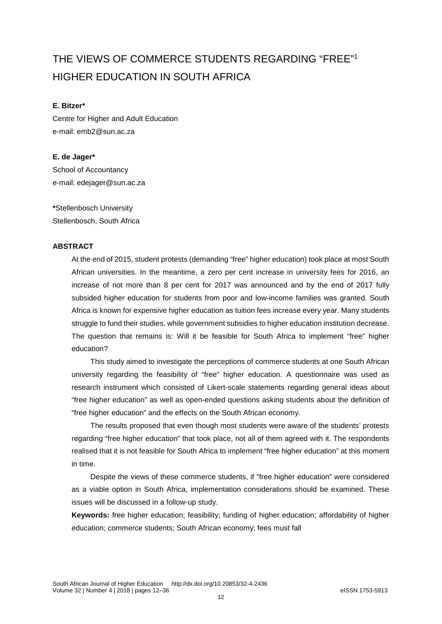# THE VIEWS OF COMMERCE STUDENTS REGARDING "FREE" 1 HIGHER EDUCATION IN SOUTH AFRICA

#### **E. Bitzer\***

Centre for Higher and Adult Education e-mail: emb2@sun.ac.za

**E. de Jager\***  School of Accountancy e-mail: edejager@sun.ac.za

**\***Stellenbosch University Stellenbosch, South Africa

# **ABSTRACT**

At the end of 2015, student protests (demanding "free" higher education) took place at most South African universities. In the meantime, a zero per cent increase in university fees for 2016, an increase of not more than 8 per cent for 2017 was announced and by the end of 2017 fully subsided higher education for students from poor and low-income families was granted. South Africa is known for expensive higher education as tuition fees increase every year. Many students struggle to fund their studies, while government subsidies to higher education institution decrease. The question that remains is: Will it be feasible for South Africa to implement "free" higher education?

This study aimed to investigate the perceptions of commerce students at one South African university regarding the feasibility of "free" higher education. A questionnaire was used as research instrument which consisted of Likert-scale statements regarding general ideas about "free higher education" as well as open-ended questions asking students about the definition of "free higher education" and the effects on the South African economy.

The results proposed that even though most students were aware of the students' protests regarding "free higher education" that took place, not all of them agreed with it. The respondents realised that it is not feasible for South Africa to implement "free higher education" at this moment in time.

Despite the views of these commerce students, if "free higher education" were considered as a viable option in South Africa, implementation considerations should be examined. These issues will be discussed in a follow-up study.

**Keywords:** free higher education; feasibility; funding of higher education; affordability of higher education; commerce students; South African economy; fees must fall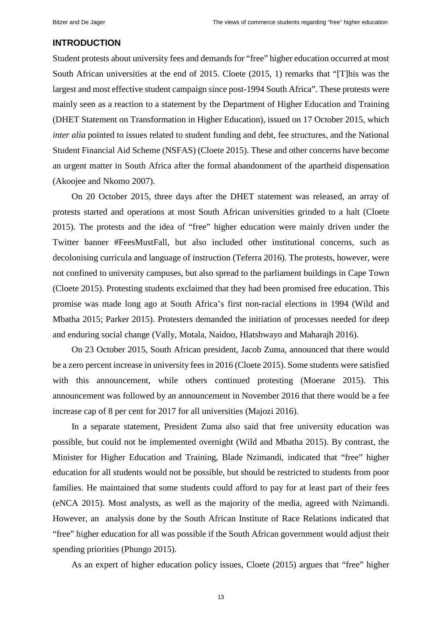#### **INTRODUCTION**

Student protests about university fees and demands for "free" higher education occurred at most South African universities at the end of 2015. Cloete (2015, 1) remarks that "[T]his was the largest and most effective student campaign since post-1994 South Africa". These protests were mainly seen as a reaction to a statement by the Department of Higher Education and Training (DHET Statement on Transformation in Higher Education), issued on 17 October 2015, which *inter alia* pointed to issues related to student funding and debt, fee structures, and the National Student Financial Aid Scheme (NSFAS) (Cloete 2015). These and other concerns have become an urgent matter in South Africa after the formal abandonment of the apartheid dispensation (Akoojee and Nkomo 2007).

On 20 October 2015, three days after the DHET statement was released, an array of protests started and operations at most South African universities grinded to a halt (Cloete 2015). The protests and the idea of "free" higher education were mainly driven under the Twitter banner #FeesMustFall, but also included other institutional concerns, such as decolonising curricula and language of instruction (Teferra 2016). The protests, however, were not confined to university campuses, but also spread to the parliament buildings in Cape Town (Cloete 2015). Protesting students exclaimed that they had been promised free education. This promise was made long ago at South Africa's first non-racial elections in 1994 (Wild and Mbatha 2015; Parker 2015). Protesters demanded the initiation of processes needed for deep and enduring social change (Vally, Motala, Naidoo, Hlatshwayo and Maharajh 2016).

On 23 October 2015, South African president, Jacob Zuma, announced that there would be a zero percent increase in university fees in 2016 (Cloete 2015). Some students were satisfied with this announcement, while others continued protesting (Moerane 2015). This announcement was followed by an announcement in November 2016 that there would be a fee increase cap of 8 per cent for 2017 for all universities (Majozi 2016).

In a separate statement, President Zuma also said that free university education was possible, but could not be implemented overnight (Wild and Mbatha 2015). By contrast, the Minister for Higher Education and Training, Blade Nzimandi, indicated that "free" higher education for all students would not be possible, but should be restricted to students from poor families. He maintained that some students could afford to pay for at least part of their fees (eNCA 2015). Most analysts, as well as the majority of the media, agreed with Nzimandi. However, an analysis done by the South African Institute of Race Relations indicated that "free" higher education for all was possible if the South African government would adjust their spending priorities (Phungo 2015).

As an expert of higher education policy issues, Cloete (2015) argues that "free" higher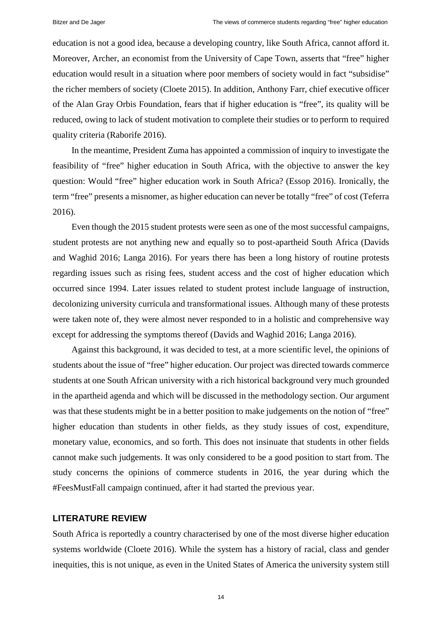education is not a good idea, because a developing country, like South Africa, cannot afford it. Moreover, Archer, an economist from the University of Cape Town, asserts that "free" higher education would result in a situation where poor members of society would in fact "subsidise" the richer members of society (Cloete 2015). In addition, Anthony Farr, chief executive officer of the Alan Gray Orbis Foundation, fears that if higher education is "free", its quality will be reduced, owing to lack of student motivation to complete their studies or to perform to required quality criteria (Raborife 2016).

In the meantime, President Zuma has appointed a commission of inquiry to investigate the feasibility of "free" higher education in South Africa, with the objective to answer the key question: Would "free" higher education work in South Africa? (Essop 2016). Ironically, the term "free" presents a misnomer, as higher education can never be totally "free" of cost (Teferra 2016).

Even though the 2015 student protests were seen as one of the most successful campaigns, student protests are not anything new and equally so to post-apartheid South Africa (Davids and Waghid 2016; Langa 2016). For years there has been a long history of routine protests regarding issues such as rising fees, student access and the cost of higher education which occurred since 1994. Later issues related to student protest include language of instruction, decolonizing university curricula and transformational issues. Although many of these protests were taken note of, they were almost never responded to in a holistic and comprehensive way except for addressing the symptoms thereof (Davids and Waghid 2016; Langa 2016).

Against this background, it was decided to test, at a more scientific level, the opinions of students about the issue of "free" higher education. Our project was directed towards commerce students at one South African university with a rich historical background very much grounded in the apartheid agenda and which will be discussed in the methodology section. Our argument was that these students might be in a better position to make judgements on the notion of "free" higher education than students in other fields, as they study issues of cost, expenditure, monetary value, economics, and so forth. This does not insinuate that students in other fields cannot make such judgements. It was only considered to be a good position to start from. The study concerns the opinions of commerce students in 2016, the year during which the #FeesMustFall campaign continued, after it had started the previous year.

#### **LITERATURE REVIEW**

South Africa is reportedly a country characterised by one of the most diverse higher education systems worldwide (Cloete 2016). While the system has a history of racial, class and gender inequities, this is not unique, as even in the United States of America the university system still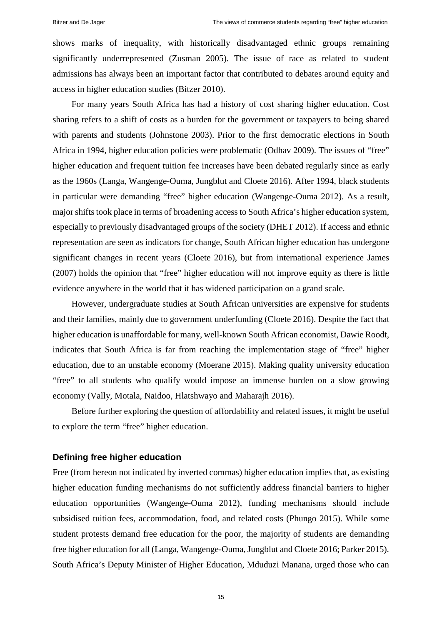shows marks of inequality, with historically disadvantaged ethnic groups remaining significantly underrepresented (Zusman 2005). The issue of race as related to student admissions has always been an important factor that contributed to debates around equity and access in higher education studies (Bitzer 2010).

For many years South Africa has had a history of cost sharing higher education. Cost sharing refers to a shift of costs as a burden for the government or taxpayers to being shared with parents and students (Johnstone 2003). Prior to the first democratic elections in South Africa in 1994, higher education policies were problematic (Odhav 2009). The issues of "free" higher education and frequent tuition fee increases have been debated regularly since as early as the 1960s (Langa, Wangenge-Ouma, Jungblut and Cloete 2016). After 1994, black students in particular were demanding "free" higher education (Wangenge-Ouma 2012). As a result, major shifts took place in terms of broadening access to South Africa's higher education system, especially to previously disadvantaged groups of the society (DHET 2012). If access and ethnic representation are seen as indicators for change, South African higher education has undergone significant changes in recent years (Cloete 2016), but from international experience James (2007) holds the opinion that "free" higher education will not improve equity as there is little evidence anywhere in the world that it has widened participation on a grand scale.

However, undergraduate studies at South African universities are expensive for students and their families, mainly due to government underfunding (Cloete 2016). Despite the fact that higher education is unaffordable for many, well-known South African economist, Dawie Roodt, indicates that South Africa is far from reaching the implementation stage of "free" higher education, due to an unstable economy (Moerane 2015). Making quality university education "free" to all students who qualify would impose an immense burden on a slow growing economy (Vally, Motala, Naidoo, Hlatshwayo and Maharajh 2016).

Before further exploring the question of affordability and related issues, it might be useful to explore the term "free" higher education.

### **Defining free higher education**

Free (from hereon not indicated by inverted commas) higher education implies that, as existing higher education funding mechanisms do not sufficiently address financial barriers to higher education opportunities (Wangenge-Ouma 2012), funding mechanisms should include subsidised tuition fees, accommodation, food, and related costs (Phungo 2015). While some student protests demand free education for the poor, the majority of students are demanding free higher education for all (Langa, Wangenge-Ouma, Jungblut and Cloete 2016; Parker 2015). South Africa's Deputy Minister of Higher Education, Mduduzi Manana, urged those who can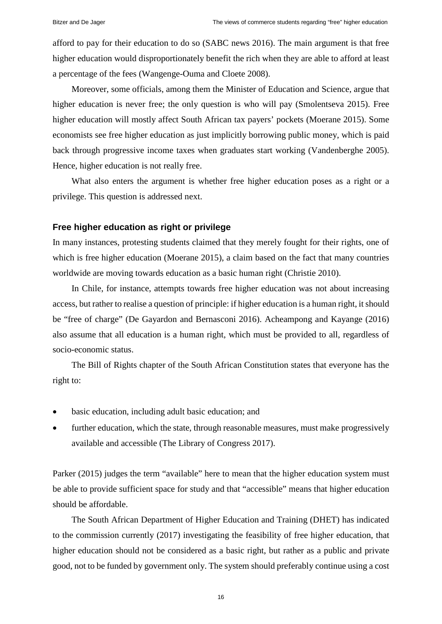afford to pay for their education to do so (SABC news 2016). The main argument is that free higher education would disproportionately benefit the rich when they are able to afford at least a percentage of the fees (Wangenge-Ouma and Cloete 2008).

Moreover, some officials, among them the Minister of Education and Science, argue that higher education is never free; the only question is who will pay (Smolentseva 2015). Free higher education will mostly affect South African tax payers' pockets (Moerane 2015). Some economists see free higher education as just implicitly borrowing public money, which is paid back through progressive income taxes when graduates start working (Vandenberghe 2005). Hence, higher education is not really free.

What also enters the argument is whether free higher education poses as a right or a privilege. This question is addressed next.

#### **Free higher education as right or privilege**

In many instances, protesting students claimed that they merely fought for their rights, one of which is free higher education (Moerane 2015), a claim based on the fact that many countries worldwide are moving towards education as a basic human right (Christie 2010).

In Chile, for instance, attempts towards free higher education was not about increasing access, but rather to realise a question of principle: if higher education is a human right, it should be "free of charge" (De Gayardon and Bernasconi 2016). Acheampong and Kayange (2016) also assume that all education is a human right, which must be provided to all, regardless of socio-economic status.

The Bill of Rights chapter of the South African Constitution states that everyone has the right to:

- basic education, including adult basic education; and
- further education, which the state, through reasonable measures, must make progressively available and accessible (The Library of Congress 2017).

Parker (2015) judges the term "available" here to mean that the higher education system must be able to provide sufficient space for study and that "accessible" means that higher education should be affordable.

The South African Department of Higher Education and Training (DHET) has indicated to the commission currently (2017) investigating the feasibility of free higher education, that higher education should not be considered as a basic right, but rather as a public and private good, not to be funded by government only. The system should preferably continue using a cost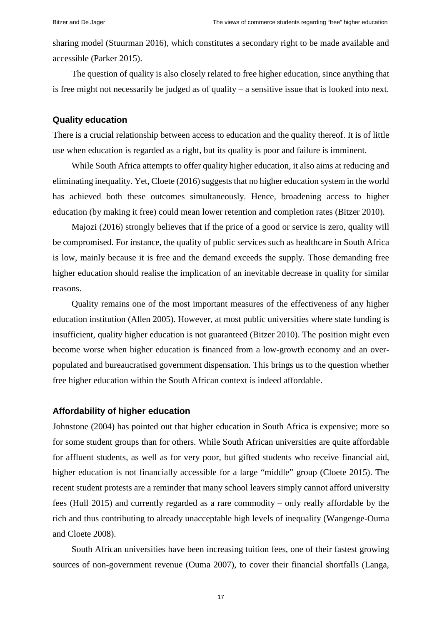sharing model (Stuurman 2016), which constitutes a secondary right to be made available and accessible (Parker 2015).

The question of quality is also closely related to free higher education, since anything that is free might not necessarily be judged as of quality – a sensitive issue that is looked into next.

# **Quality education**

There is a crucial relationship between access to education and the quality thereof. It is of little use when education is regarded as a right, but its quality is poor and failure is imminent.

While South Africa attempts to offer quality higher education, it also aims at reducing and eliminating inequality. Yet, Cloete (2016) suggests that no higher education system in the world has achieved both these outcomes simultaneously. Hence, broadening access to higher education (by making it free) could mean lower retention and completion rates (Bitzer 2010).

Majozi (2016) strongly believes that if the price of a good or service is zero, quality will be compromised. For instance, the quality of public services such as healthcare in South Africa is low, mainly because it is free and the demand exceeds the supply. Those demanding free higher education should realise the implication of an inevitable decrease in quality for similar reasons.

Quality remains one of the most important measures of the effectiveness of any higher education institution (Allen 2005). However, at most public universities where state funding is insufficient, quality higher education is not guaranteed (Bitzer 2010). The position might even become worse when higher education is financed from a low-growth economy and an overpopulated and bureaucratised government dispensation. This brings us to the question whether free higher education within the South African context is indeed affordable.

# **Affordability of higher education**

Johnstone (2004) has pointed out that higher education in South Africa is expensive; more so for some student groups than for others. While South African universities are quite affordable for affluent students, as well as for very poor, but gifted students who receive financial aid, higher education is not financially accessible for a large "middle" group (Cloete 2015). The recent student protests are a reminder that many school leavers simply cannot afford university fees (Hull 2015) and currently regarded as a rare commodity  $-$  only really affordable by the rich and thus contributing to already unacceptable high levels of inequality (Wangenge-Ouma and Cloete 2008).

South African universities have been increasing tuition fees, one of their fastest growing sources of non-government revenue (Ouma 2007), to cover their financial shortfalls (Langa,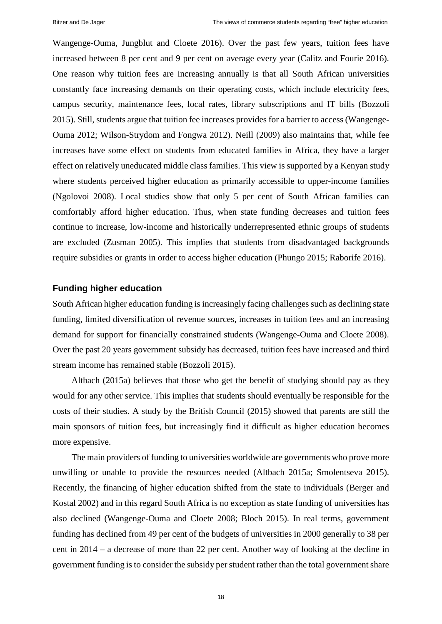Wangenge-Ouma, Jungblut and Cloete 2016). Over the past few years, tuition fees have increased between 8 per cent and 9 per cent on average every year (Calitz and Fourie 2016). One reason why tuition fees are increasing annually is that all South African universities constantly face increasing demands on their operating costs, which include electricity fees, campus security, maintenance fees, local rates, library subscriptions and IT bills (Bozzoli 2015). Still, students argue that tuition fee increases provides for a barrier to access (Wangenge-Ouma 2012; Wilson-Strydom and Fongwa 2012). Neill (2009) also maintains that, while fee increases have some effect on students from educated families in Africa, they have a larger effect on relatively uneducated middle class families. This view is supported by a Kenyan study where students perceived higher education as primarily accessible to upper-income families (Ngolovoi 2008). Local studies show that only 5 per cent of South African families can comfortably afford higher education. Thus, when state funding decreases and tuition fees continue to increase, low-income and historically underrepresented ethnic groups of students are excluded (Zusman 2005). This implies that students from disadvantaged backgrounds require subsidies or grants in order to access higher education (Phungo 2015; Raborife 2016).

# **Funding higher education**

South African higher education funding is increasingly facing challenges such as declining state funding, limited diversification of revenue sources, increases in tuition fees and an increasing demand for support for financially constrained students (Wangenge-Ouma and Cloete 2008). Over the past 20 years government subsidy has decreased, tuition fees have increased and third stream income has remained stable (Bozzoli 2015).

Altbach (2015a) believes that those who get the benefit of studying should pay as they would for any other service. This implies that students should eventually be responsible for the costs of their studies. A study by the British Council (2015) showed that parents are still the main sponsors of tuition fees, but increasingly find it difficult as higher education becomes more expensive.

The main providers of funding to universities worldwide are governments who prove more unwilling or unable to provide the resources needed (Altbach 2015a; Smolentseva 2015). Recently, the financing of higher education shifted from the state to individuals (Berger and Kostal 2002) and in this regard South Africa is no exception as state funding of universities has also declined (Wangenge-Ouma and Cloete 2008; Bloch 2015). In real terms, government funding has declined from 49 per cent of the budgets of universities in 2000 generally to 38 per cent in 2014 ‒ a decrease of more than 22 per cent. Another way of looking at the decline in government funding is to consider the subsidy per student rather than the total government share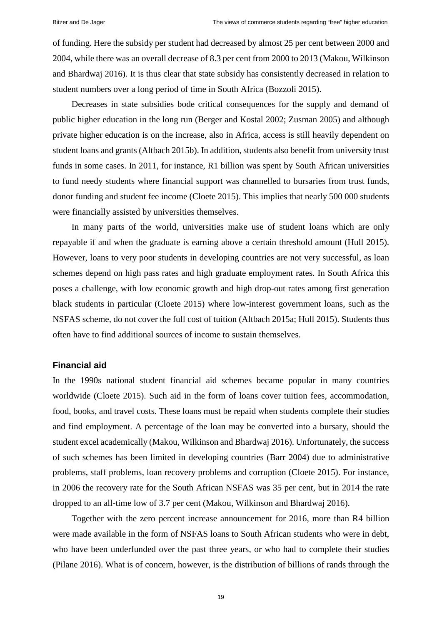of funding. Here the subsidy per student had decreased by almost 25 per cent between 2000 and 2004, while there was an overall decrease of 8.3 per cent from 2000 to 2013 (Makou, Wilkinson and Bhardwaj 2016). It is thus clear that state subsidy has consistently decreased in relation to student numbers over a long period of time in South Africa (Bozzoli 2015).

Decreases in state subsidies bode critical consequences for the supply and demand of public higher education in the long run (Berger and Kostal 2002; Zusman 2005) and although private higher education is on the increase, also in Africa, access is still heavily dependent on student loans and grants (Altbach 2015b). In addition, students also benefit from university trust funds in some cases. In 2011, for instance, R1 billion was spent by South African universities to fund needy students where financial support was channelled to bursaries from trust funds, donor funding and student fee income (Cloete 2015). This implies that nearly 500 000 students were financially assisted by universities themselves.

In many parts of the world, universities make use of student loans which are only repayable if and when the graduate is earning above a certain threshold amount (Hull 2015). However, loans to very poor students in developing countries are not very successful, as loan schemes depend on high pass rates and high graduate employment rates. In South Africa this poses a challenge, with low economic growth and high drop-out rates among first generation black students in particular (Cloete 2015) where low-interest government loans, such as the NSFAS scheme, do not cover the full cost of tuition (Altbach 2015a; Hull 2015). Students thus often have to find additional sources of income to sustain themselves.

#### **Financial aid**

In the 1990s national student financial aid schemes became popular in many countries worldwide (Cloete 2015). Such aid in the form of loans cover tuition fees, accommodation, food, books, and travel costs. These loans must be repaid when students complete their studies and find employment. A percentage of the loan may be converted into a bursary, should the student excel academically (Makou, Wilkinson and Bhardwaj 2016). Unfortunately, the success of such schemes has been limited in developing countries (Barr 2004) due to administrative problems, staff problems, loan recovery problems and corruption (Cloete 2015). For instance, in 2006 the recovery rate for the South African NSFAS was 35 per cent, but in 2014 the rate dropped to an all-time low of 3.7 per cent (Makou, Wilkinson and Bhardwaj 2016).

Together with the zero percent increase announcement for 2016, more than R4 billion were made available in the form of NSFAS loans to South African students who were in debt, who have been underfunded over the past three years, or who had to complete their studies (Pilane 2016). What is of concern, however, is the distribution of billions of rands through the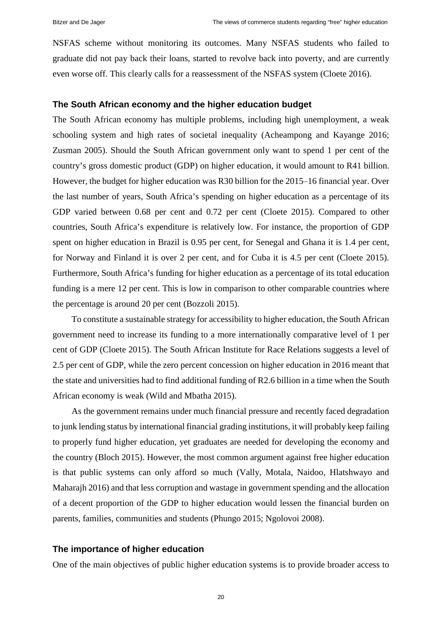NSFAS scheme without monitoring its outcomes. Many NSFAS students who failed to graduate did not pay back their loans, started to revolve back into poverty, and are currently even worse off. This clearly calls for a reassessment of the NSFAS system (Cloete 2016).

# **The South African economy and the higher education budget**

The South African economy has multiple problems, including high unemployment, a weak schooling system and high rates of societal inequality (Acheampong and Kayange 2016; Zusman 2005). Should the South African government only want to spend 1 per cent of the country's gross domestic product (GDP) on higher education, it would amount to R41 billion. However, the budget for higher education was R30 billion for the 2015–16 financial year. Over the last number of years, South Africa's spending on higher education as a percentage of its GDP varied between 0.68 per cent and 0.72 per cent (Cloete 2015). Compared to other countries, South Africa's expenditure is relatively low. For instance, the proportion of GDP spent on higher education in Brazil is 0.95 per cent, for Senegal and Ghana it is 1.4 per cent, for Norway and Finland it is over 2 per cent, and for Cuba it is 4.5 per cent (Cloete 2015). Furthermore, South Africa's funding for higher education as a percentage of its total education funding is a mere 12 per cent. This is low in comparison to other comparable countries where the percentage is around 20 per cent (Bozzoli 2015).

To constitute a sustainable strategy for accessibility to higher education, the South African government need to increase its funding to a more internationally comparative level of 1 per cent of GDP (Cloete 2015). The South African Institute for Race Relations suggests a level of 2.5 per cent of GDP, while the zero percent concession on higher education in 2016 meant that the state and universities had to find additional funding of R2.6 billion in a time when the South African economy is weak (Wild and Mbatha 2015).

As the government remains under much financial pressure and recently faced degradation to junk lending status by international financial grading institutions, it will probably keep failing to properly fund higher education, yet graduates are needed for developing the economy and the country (Bloch 2015). However, the most common argument against free higher education is that public systems can only afford so much (Vally, Motala, Naidoo, Hlatshwayo and Maharajh 2016) and that less corruption and wastage in government spending and the allocation of a decent proportion of the GDP to higher education would lessen the financial burden on parents, families, communities and students (Phungo 2015; Ngolovoi 2008).

# **The importance of higher education**

One of the main objectives of public higher education systems is to provide broader access to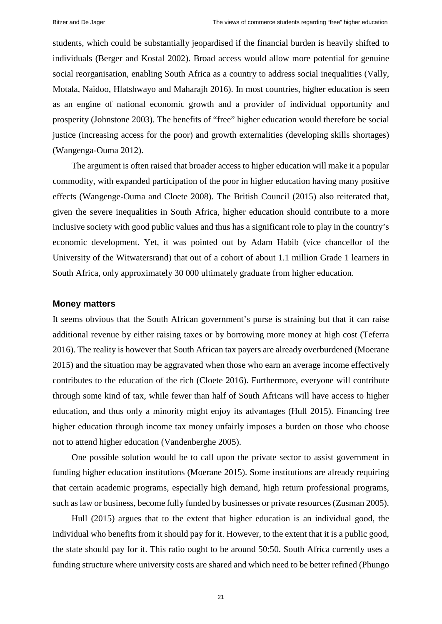students, which could be substantially jeopardised if the financial burden is heavily shifted to individuals (Berger and Kostal 2002). Broad access would allow more potential for genuine social reorganisation, enabling South Africa as a country to address social inequalities (Vally, Motala, Naidoo, Hlatshwayo and Maharajh 2016). In most countries, higher education is seen as an engine of national economic growth and a provider of individual opportunity and prosperity (Johnstone 2003). The benefits of "free" higher education would therefore be social justice (increasing access for the poor) and growth externalities (developing skills shortages) (Wangenga-Ouma 2012).

The argument is often raised that broader access to higher education will make it a popular commodity, with expanded participation of the poor in higher education having many positive effects (Wangenge-Ouma and Cloete 2008). The British Council (2015) also reiterated that, given the severe inequalities in South Africa, higher education should contribute to a more inclusive society with good public values and thus has a significant role to play in the country's economic development. Yet, it was pointed out by Adam Habib (vice chancellor of the University of the Witwatersrand) that out of a cohort of about 1.1 million Grade 1 learners in South Africa, only approximately 30 000 ultimately graduate from higher education.

# **Money matters**

It seems obvious that the South African government's purse is straining but that it can raise additional revenue by either raising taxes or by borrowing more money at high cost (Teferra 2016). The reality is however that South African tax payers are already overburdened (Moerane 2015) and the situation may be aggravated when those who earn an average income effectively contributes to the education of the rich (Cloete 2016). Furthermore, everyone will contribute through some kind of tax, while fewer than half of South Africans will have access to higher education, and thus only a minority might enjoy its advantages (Hull 2015). Financing free higher education through income tax money unfairly imposes a burden on those who choose not to attend higher education (Vandenberghe 2005).

One possible solution would be to call upon the private sector to assist government in funding higher education institutions (Moerane 2015). Some institutions are already requiring that certain academic programs, especially high demand, high return professional programs, such as law or business, become fully funded by businesses or private resources (Zusman 2005).

Hull (2015) argues that to the extent that higher education is an individual good, the individual who benefits from it should pay for it. However, to the extent that it is a public good, the state should pay for it. This ratio ought to be around 50:50. South Africa currently uses a funding structure where university costs are shared and which need to be better refined (Phungo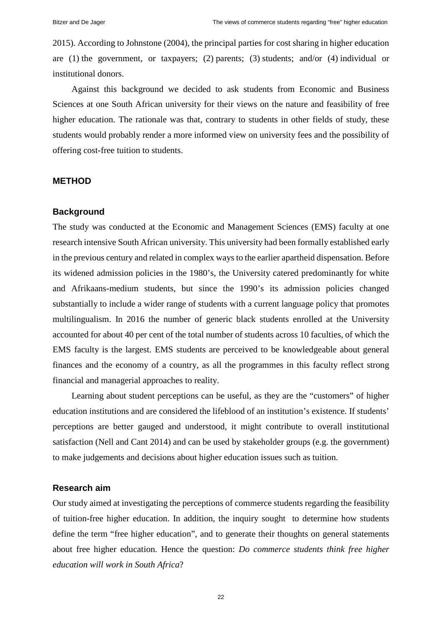2015). According to Johnstone (2004), the principal parties for cost sharing in higher education are (1) the government, or taxpayers; (2) parents; (3) students; and/or (4) individual or institutional donors.

Against this background we decided to ask students from Economic and Business Sciences at one South African university for their views on the nature and feasibility of free higher education. The rationale was that, contrary to students in other fields of study, these students would probably render a more informed view on university fees and the possibility of offering cost-free tuition to students.

#### **METHOD**

#### **Background**

The study was conducted at the Economic and Management Sciences (EMS) faculty at one research intensive South African university. This university had been formally established early in the previous century and related in complex waysto the earlier apartheid dispensation. Before its widened admission policies in the 1980's, the University catered predominantly for white and Afrikaans-medium students, but since the 1990's its admission policies changed substantially to include a wider range of students with a current language policy that promotes multilingualism. In 2016 the number of generic black students enrolled at the University accounted for about 40 per cent of the total number of students across 10 faculties, of which the EMS faculty is the largest. EMS students are perceived to be knowledgeable about general finances and the economy of a country, as all the programmes in this faculty reflect strong financial and managerial approaches to reality.

Learning about student perceptions can be useful, as they are the "customers" of higher education institutions and are considered the lifeblood of an institution's existence. If students' perceptions are better gauged and understood, it might contribute to overall institutional satisfaction (Nell and Cant 2014) and can be used by stakeholder groups (e.g. the government) to make judgements and decisions about higher education issues such as tuition.

#### **Research aim**

Our study aimed at investigating the perceptions of commerce students regarding the feasibility of tuition-free higher education. In addition, the inquiry sought to determine how students define the term "free higher education", and to generate their thoughts on general statements about free higher education. Hence the question: *Do commerce students think free higher education will work in South Africa*?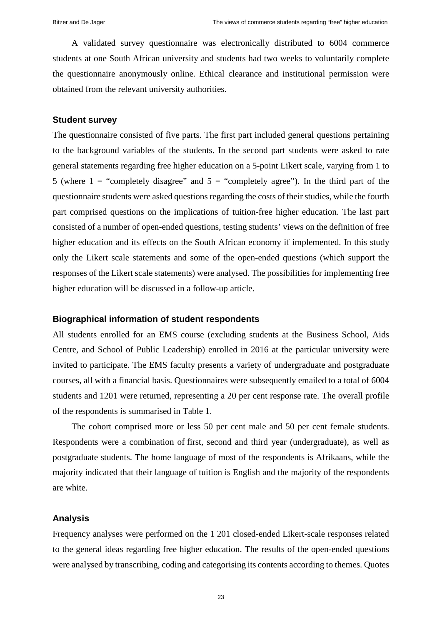A validated survey questionnaire was electronically distributed to 6004 commerce students at one South African university and students had two weeks to voluntarily complete the questionnaire anonymously online. Ethical clearance and institutional permission were obtained from the relevant university authorities.

# **Student survey**

The questionnaire consisted of five parts. The first part included general questions pertaining to the background variables of the students. In the second part students were asked to rate general statements regarding free higher education on a 5-point Likert scale, varying from 1 to 5 (where  $1 =$  "completely disagree" and  $5 =$  "completely agree"). In the third part of the questionnaire students were asked questions regarding the costs of their studies, while the fourth part comprised questions on the implications of tuition-free higher education. The last part consisted of a number of open-ended questions, testing students' views on the definition of free higher education and its effects on the South African economy if implemented. In this study only the Likert scale statements and some of the open-ended questions (which support the responses of the Likert scale statements) were analysed. The possibilities for implementing free higher education will be discussed in a follow-up article.

#### **Biographical information of student respondents**

All students enrolled for an EMS course (excluding students at the Business School, Aids Centre, and School of Public Leadership) enrolled in 2016 at the particular university were invited to participate. The EMS faculty presents a variety of undergraduate and postgraduate courses, all with a financial basis. Questionnaires were subsequently emailed to a total of 6004 students and 1201 were returned, representing a 20 per cent response rate. The overall profile of the respondents is summarised in Table 1.

The cohort comprised more or less 50 per cent male and 50 per cent female students. Respondents were a combination of first, second and third year (undergraduate), as well as postgraduate students. The home language of most of the respondents is Afrikaans, while the majority indicated that their language of tuition is English and the majority of the respondents are white.

#### **Analysis**

Frequency analyses were performed on the 1 201 closed-ended Likert-scale responses related to the general ideas regarding free higher education. The results of the open-ended questions were analysed by transcribing, coding and categorising its contents according to themes. Quotes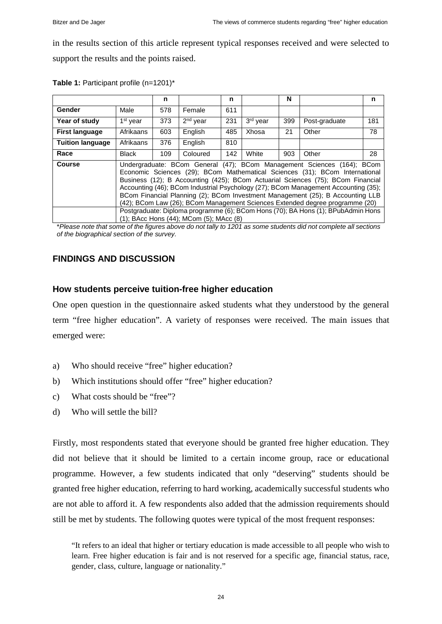in the results section of this article represent typical responses received and were selected to support the results and the points raised.

|                         |                                                                                    | n   |            | n   |          | N   |               | n   |
|-------------------------|------------------------------------------------------------------------------------|-----|------------|-----|----------|-----|---------------|-----|
| Gender                  | Male                                                                               | 578 | Female     | 611 |          |     |               |     |
| Year of study           | 1 <sup>st</sup> year                                                               | 373 | $2nd$ year | 231 | 3rd year | 399 | Post-graduate | 181 |
| <b>First language</b>   | Afrikaans                                                                          | 603 | English    | 485 | Xhosa    | 21  | Other         | 78  |
| <b>Tuition language</b> | Afrikaans                                                                          | 376 | English    | 810 |          |     |               |     |
| Race                    | Black                                                                              | 109 | Coloured   | 142 | White    | 903 | Other         | 28  |
| <b>Course</b>           | Undergraduate: BCom General (47); BCom Management Sciences (164); BCom             |     |            |     |          |     |               |     |
|                         | Economic Sciences (29); BCom Mathematical Sciences (31); BCom International        |     |            |     |          |     |               |     |
|                         | Business (12); B Accounting (425); BCom Actuarial Sciences (75); BCom Financial    |     |            |     |          |     |               |     |
|                         | Accounting (46); BCom Industrial Psychology (27); BCom Management Accounting (35); |     |            |     |          |     |               |     |
|                         | BCom Financial Planning (2); BCom Investment Management (25); B Accounting LLB     |     |            |     |          |     |               |     |
|                         | (42); BCom Law (26); BCom Management Sciences Extended degree programme (20)       |     |            |     |          |     |               |     |
|                         | Postgraduate: Diploma programme (6); BCom Hons (70); BA Hons (1); BPubAdmin Hons   |     |            |     |          |     |               |     |
|                         | (1); BAcc Hons (44); MCom (5); MAcc (8)                                            |     |            |     |          |     |               |     |

|  | Table 1: Participant profile (n=1201)* |  |  |
|--|----------------------------------------|--|--|
|--|----------------------------------------|--|--|

\**Please note that some of the figures above do not tally to 1201 as some students did not complete all sections of the biographical section of the survey.*

# **FINDINGS AND DISCUSSION**

# **How students perceive tuition-free higher education**

One open question in the questionnaire asked students what they understood by the general term "free higher education". A variety of responses were received. The main issues that emerged were:

- a) Who should receive "free" higher education?
- b) Which institutions should offer "free" higher education?
- c) What costs should be "free"?
- d) Who will settle the bill?

Firstly, most respondents stated that everyone should be granted free higher education. They did not believe that it should be limited to a certain income group, race or educational programme. However, a few students indicated that only "deserving" students should be granted free higher education, referring to hard working, academically successful students who are not able to afford it. A few respondents also added that the admission requirements should still be met by students. The following quotes were typical of the most frequent responses:

"It refers to an ideal that higher or tertiary education is made accessible to all people who wish to learn. Free higher education is fair and is not reserved for a specific age, financial status, race, gender, class, culture, language or nationality."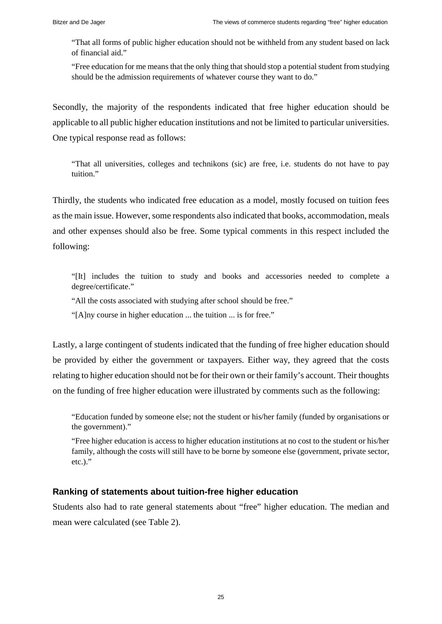"That all forms of public higher education should not be withheld from any student based on lack of financial aid."

"Free education for me means that the only thing that should stop a potential student from studying should be the admission requirements of whatever course they want to do."

Secondly, the majority of the respondents indicated that free higher education should be applicable to all public higher education institutions and not be limited to particular universities. One typical response read as follows:

"That all universities, colleges and technikons (sic) are free, i.e. students do not have to pay tuition."

Thirdly, the students who indicated free education as a model, mostly focused on tuition fees as the main issue. However, some respondents also indicated that books, accommodation, meals and other expenses should also be free. Some typical comments in this respect included the following:

"[It] includes the tuition to study and books and accessories needed to complete a degree/certificate."

"All the costs associated with studying after school should be free."

"[A]ny course in higher education ... the tuition ... is for free."

Lastly, a large contingent of students indicated that the funding of free higher education should be provided by either the government or taxpayers. Either way, they agreed that the costs relating to higher education should not be for their own or their family's account. Their thoughts on the funding of free higher education were illustrated by comments such as the following:

"Education funded by someone else; not the student or his/her family (funded by organisations or the government)."

"Free higher education is access to higher education institutions at no cost to the student or his/her family, although the costs will still have to be borne by someone else (government, private sector, etc.)."

# **Ranking of statements about tuition-free higher education**

Students also had to rate general statements about "free" higher education. The median and mean were calculated (see Table 2).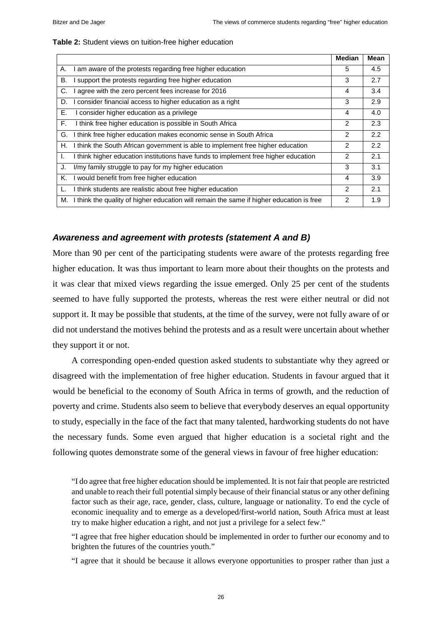|           |                                                                                          | <b>Median</b>  | <b>Mean</b> |
|-----------|------------------------------------------------------------------------------------------|----------------|-------------|
| А.        | am aware of the protests regarding free higher education                                 | 5              | 4.5         |
| <b>B.</b> | support the protests regarding free higher education                                     | 3              | 2.7         |
| C.        | agree with the zero percent fees increase for 2016                                       | 4              | 3.4         |
| D.        | consider financial access to higher education as a right                                 | 3              | 2.9         |
| Ε.        | consider higher education as a privilege                                                 | 4              | 4.0         |
| F.        | I think free higher education is possible in South Africa                                | 2              | 2.3         |
| G.        | I think free higher education makes economic sense in South Africa                       | 2              | 2.2         |
| Η.        | I think the South African government is able to implement free higher education          | $\overline{2}$ | 2.2         |
| I.        | I think higher education institutions have funds to implement free higher education      | 2              | 2.1         |
| J.        | I/my family struggle to pay for my higher education                                      | 3              | 3.1         |
| Κ.        | would benefit from free higher education                                                 | 4              | 3.9         |
| L.        | I think students are realistic about free higher education                               | 2              | 2.1         |
| М.        | I think the quality of higher education will remain the same if higher education is free | 2              | 1.9         |

#### **Table 2:** Student views on tuition-free higher education

# *Awareness and agreement with protests (statement A and B)*

More than 90 per cent of the participating students were aware of the protests regarding free higher education. It was thus important to learn more about their thoughts on the protests and it was clear that mixed views regarding the issue emerged. Only 25 per cent of the students seemed to have fully supported the protests, whereas the rest were either neutral or did not support it. It may be possible that students, at the time of the survey, were not fully aware of or did not understand the motives behind the protests and as a result were uncertain about whether they support it or not.

A corresponding open-ended question asked students to substantiate why they agreed or disagreed with the implementation of free higher education. Students in favour argued that it would be beneficial to the economy of South Africa in terms of growth, and the reduction of poverty and crime. Students also seem to believe that everybody deserves an equal opportunity to study, especially in the face of the fact that many talented, hardworking students do not have the necessary funds. Some even argued that higher education is a societal right and the following quotes demonstrate some of the general views in favour of free higher education:

"I do agree that free higher education should be implemented. It is not fair that people are restricted and unable to reach their full potential simply because of their financial status or any other defining factor such as their age, race, gender, class, culture, language or nationality. To end the cycle of economic inequality and to emerge as a developed/first-world nation, South Africa must at least try to make higher education a right, and not just a privilege for a select few."

"I agree that free higher education should be implemented in order to further our economy and to brighten the futures of the countries youth."

"I agree that it should be because it allows everyone opportunities to prosper rather than just a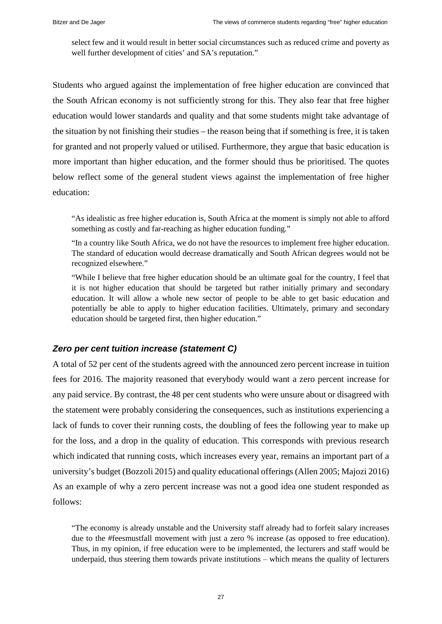select few and it would result in better social circumstances such as reduced crime and poverty as well further development of cities' and SA's reputation."

Students who argued against the implementation of free higher education are convinced that the South African economy is not sufficiently strong for this. They also fear that free higher education would lower standards and quality and that some students might take advantage of the situation by not finishing their studies – the reason being that if something is free, it is taken for granted and not properly valued or utilised. Furthermore, they argue that basic education is more important than higher education, and the former should thus be prioritised. The quotes below reflect some of the general student views against the implementation of free higher education:

"As idealistic as free higher education is, South Africa at the moment is simply not able to afford something as costly and far-reaching as higher education funding."

"In a country like South Africa, we do not have the resources to implement free higher education. The standard of education would decrease dramatically and South African degrees would not be recognized elsewhere."

"While I believe that free higher education should be an ultimate goal for the country, I feel that it is not higher education that should be targeted but rather initially primary and secondary education. It will allow a whole new sector of people to be able to get basic education and potentially be able to apply to higher education facilities. Ultimately, primary and secondary education should be targeted first, then higher education."

# *Zero per cent tuition increase (statement C)*

A total of 52 per cent of the students agreed with the announced zero percent increase in tuition fees for 2016. The majority reasoned that everybody would want a zero percent increase for any paid service. By contrast, the 48 per cent students who were unsure about or disagreed with the statement were probably considering the consequences, such as institutions experiencing a lack of funds to cover their running costs, the doubling of fees the following year to make up for the loss, and a drop in the quality of education. This corresponds with previous research which indicated that running costs, which increases every year, remains an important part of a university's budget (Bozzoli 2015) and quality educational offerings (Allen 2005; Majozi 2016) As an example of why a zero percent increase was not a good idea one student responded as follows:

"The economy is already unstable and the University staff already had to forfeit salary increases due to the #feesmustfall movement with just a zero % increase (as opposed to free education). Thus, in my opinion, if free education were to be implemented, the lecturers and staff would be underpaid, thus steering them towards private institutions – which means the quality of lecturers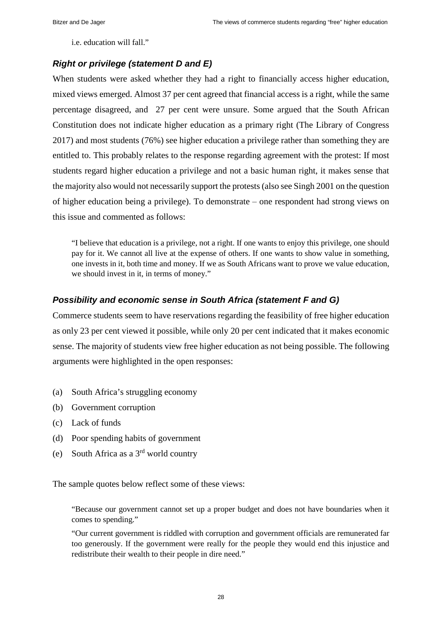i.e. education will fall."

# *Right or privilege (statement D and E)*

When students were asked whether they had a right to financially access higher education, mixed views emerged. Almost 37 per cent agreed that financial access is a right, while the same percentage disagreed, and 27 per cent were unsure. Some argued that the South African Constitution does not indicate higher education as a primary right (The Library of Congress 2017) and most students (76%) see higher education a privilege rather than something they are entitled to. This probably relates to the response regarding agreement with the protest: If most students regard higher education a privilege and not a basic human right, it makes sense that the majority also would not necessarily support the protests(also see Singh 2001 on the question of higher education being a privilege). To demonstrate – one respondent had strong views on this issue and commented as follows:

"I believe that education is a privilege, not a right. If one wants to enjoy this privilege, one should pay for it. We cannot all live at the expense of others. If one wants to show value in something, one invests in it, both time and money. If we as South Africans want to prove we value education, we should invest in it, in terms of money."

# *Possibility and economic sense in South Africa (statement F and G)*

Commerce students seem to have reservations regarding the feasibility of free higher education as only 23 per cent viewed it possible, while only 20 per cent indicated that it makes economic sense. The majority of students view free higher education as not being possible. The following arguments were highlighted in the open responses:

- (a) South Africa's struggling economy
- (b) Government corruption
- (c) Lack of funds
- (d) Poor spending habits of government
- (e) South Africa as a 3rd world country

The sample quotes below reflect some of these views:

"Because our government cannot set up a proper budget and does not have boundaries when it comes to spending."

"Our current government is riddled with corruption and government officials are remunerated far too generously. If the government were really for the people they would end this injustice and redistribute their wealth to their people in dire need."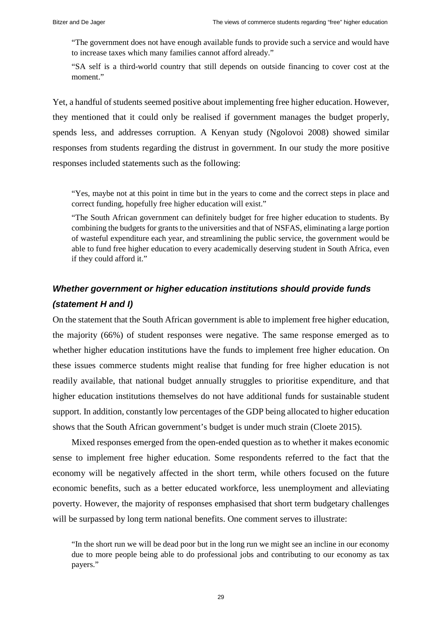"The government does not have enough available funds to provide such a service and would have to increase taxes which many families cannot afford already."

"SA self is a third-world country that still depends on outside financing to cover cost at the moment."

Yet, a handful of students seemed positive about implementing free higher education. However, they mentioned that it could only be realised if government manages the budget properly, spends less, and addresses corruption. A Kenyan study (Ngolovoi 2008) showed similar responses from students regarding the distrust in government. In our study the more positive responses included statements such as the following:

"Yes, maybe not at this point in time but in the years to come and the correct steps in place and correct funding, hopefully free higher education will exist."

"The South African government can definitely budget for free higher education to students. By combining the budgets for grants to the universities and that of NSFAS, eliminating a large portion of wasteful expenditure each year, and streamlining the public service, the government would be able to fund free higher education to every academically deserving student in South Africa, even if they could afford it."

# *Whether government or higher education institutions should provide funds (statement H and I)*

On the statement that the South African government is able to implement free higher education, the majority (66%) of student responses were negative. The same response emerged as to whether higher education institutions have the funds to implement free higher education. On these issues commerce students might realise that funding for free higher education is not readily available, that national budget annually struggles to prioritise expenditure, and that higher education institutions themselves do not have additional funds for sustainable student support. In addition, constantly low percentages of the GDP being allocated to higher education shows that the South African government's budget is under much strain (Cloete 2015).

Mixed responses emerged from the open-ended question as to whether it makes economic sense to implement free higher education. Some respondents referred to the fact that the economy will be negatively affected in the short term, while others focused on the future economic benefits, such as a better educated workforce, less unemployment and alleviating poverty. However, the majority of responses emphasised that short term budgetary challenges will be surpassed by long term national benefits. One comment serves to illustrate:

<sup>&</sup>quot;In the short run we will be dead poor but in the long run we might see an incline in our economy due to more people being able to do professional jobs and contributing to our economy as tax payers."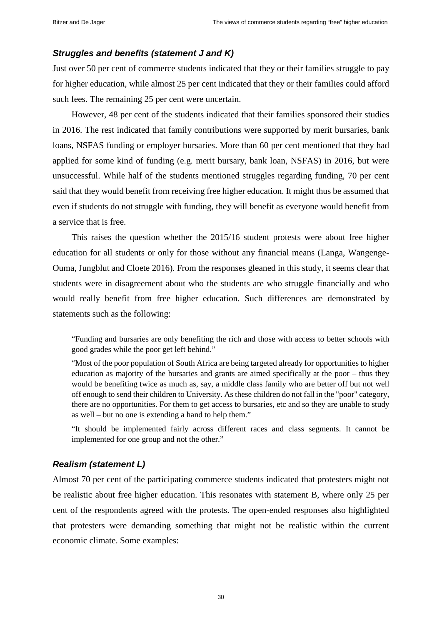# *Struggles and benefits (statement J and K)*

Just over 50 per cent of commerce students indicated that they or their families struggle to pay for higher education, while almost 25 per cent indicated that they or their families could afford such fees. The remaining 25 per cent were uncertain.

However, 48 per cent of the students indicated that their families sponsored their studies in 2016. The rest indicated that family contributions were supported by merit bursaries, bank loans, NSFAS funding or employer bursaries. More than 60 per cent mentioned that they had applied for some kind of funding (e.g. merit bursary, bank loan, NSFAS) in 2016, but were unsuccessful. While half of the students mentioned struggles regarding funding, 70 per cent said that they would benefit from receiving free higher education. It might thus be assumed that even if students do not struggle with funding, they will benefit as everyone would benefit from a service that is free.

This raises the question whether the 2015/16 student protests were about free higher education for all students or only for those without any financial means (Langa, Wangenge-Ouma, Jungblut and Cloete 2016). From the responses gleaned in this study, it seems clear that students were in disagreement about who the students are who struggle financially and who would really benefit from free higher education. Such differences are demonstrated by statements such as the following:

"Funding and bursaries are only benefiting the rich and those with access to better schools with good grades while the poor get left behind."

"Most of the poor population of South Africa are being targeted already for opportunities to higher education as majority of the bursaries and grants are aimed specifically at the poor – thus they would be benefiting twice as much as, say, a middle class family who are better off but not well off enough to send their children to University. As these children do not fall in the "poor" category, there are no opportunities. For them to get access to bursaries, etc and so they are unable to study as well – but no one is extending a hand to help them."

"It should be implemented fairly across different races and class segments. It cannot be implemented for one group and not the other."

# *Realism (statement L)*

Almost 70 per cent of the participating commerce students indicated that protesters might not be realistic about free higher education. This resonates with statement B, where only 25 per cent of the respondents agreed with the protests. The open-ended responses also highlighted that protesters were demanding something that might not be realistic within the current economic climate. Some examples: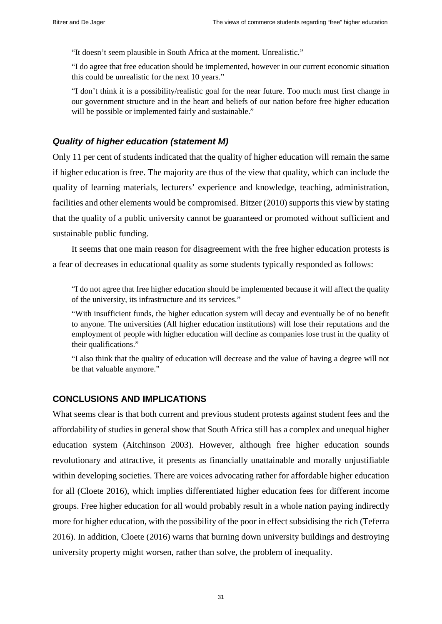"It doesn't seem plausible in South Africa at the moment. Unrealistic."

"I do agree that free education should be implemented, however in our current economic situation this could be unrealistic for the next 10 years."

"I don't think it is a possibility/realistic goal for the near future. Too much must first change in our government structure and in the heart and beliefs of our nation before free higher education will be possible or implemented fairly and sustainable."

# *Quality of higher education (statement M)*

Only 11 per cent of students indicated that the quality of higher education will remain the same if higher education is free. The majority are thus of the view that quality, which can include the quality of learning materials, lecturers' experience and knowledge, teaching, administration, facilities and other elements would be compromised. Bitzer (2010) supports this view by stating that the quality of a public university cannot be guaranteed or promoted without sufficient and sustainable public funding.

It seems that one main reason for disagreement with the free higher education protests is a fear of decreases in educational quality as some students typically responded as follows:

"I do not agree that free higher education should be implemented because it will affect the quality of the university, its infrastructure and its services."

"With insufficient funds, the higher education system will decay and eventually be of no benefit to anyone. The universities (All higher education institutions) will lose their reputations and the employment of people with higher education will decline as companies lose trust in the quality of their qualifications."

"I also think that the quality of education will decrease and the value of having a degree will not be that valuable anymore."

# **CONCLUSIONS AND IMPLICATIONS**

What seems clear is that both current and previous student protests against student fees and the affordability of studies in general show that South Africa still has a complex and unequal higher education system (Aitchinson 2003). However, although free higher education sounds revolutionary and attractive, it presents as financially unattainable and morally unjustifiable within developing societies. There are voices advocating rather for affordable higher education for all (Cloete 2016), which implies differentiated higher education fees for different income groups. Free higher education for all would probably result in a whole nation paying indirectly more for higher education, with the possibility of the poor in effect subsidising the rich (Teferra 2016). In addition, Cloete (2016) warns that burning down university buildings and destroying university property might worsen, rather than solve, the problem of inequality.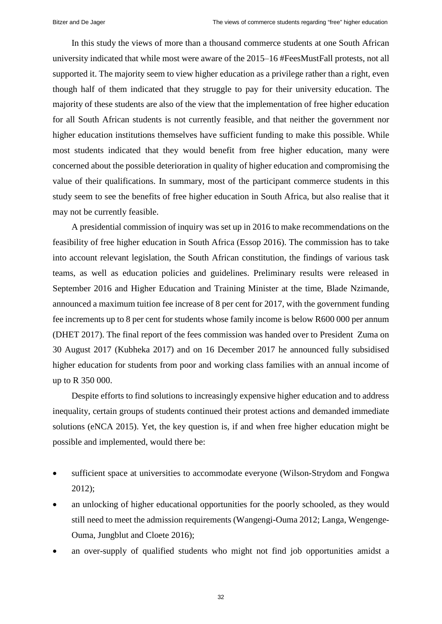In this study the views of more than a thousand commerce students at one South African university indicated that while most were aware of the 2015–16 #FeesMustFall protests, not all supported it. The majority seem to view higher education as a privilege rather than a right, even though half of them indicated that they struggle to pay for their university education. The majority of these students are also of the view that the implementation of free higher education for all South African students is not currently feasible, and that neither the government nor higher education institutions themselves have sufficient funding to make this possible. While most students indicated that they would benefit from free higher education, many were concerned about the possible deterioration in quality of higher education and compromising the value of their qualifications. In summary, most of the participant commerce students in this study seem to see the benefits of free higher education in South Africa, but also realise that it may not be currently feasible.

A presidential commission of inquiry was set up in 2016 to make recommendations on the feasibility of free higher education in South Africa (Essop 2016). The commission has to take into account relevant legislation, the South African constitution, the findings of various task teams, as well as education policies and guidelines. Preliminary results were released in September 2016 and Higher Education and Training Minister at the time, Blade Nzimande, announced a maximum tuition fee increase of 8 per cent for 2017, with the government funding fee increments up to 8 per cent for students whose family income is below R600 000 per annum (DHET 2017). The final report of the fees commission was handed over to President Zuma on 30 August 2017 (Kubheka 2017) and on 16 December 2017 he announced fully subsidised higher education for students from poor and working class families with an annual income of up to R 350 000.

Despite efforts to find solutions to increasingly expensive higher education and to address inequality, certain groups of students continued their protest actions and demanded immediate solutions (eNCA 2015). Yet, the key question is, if and when free higher education might be possible and implemented, would there be:

- sufficient space at universities to accommodate everyone (Wilson-Strydom and Fongwa 2012);
- an unlocking of higher educational opportunities for the poorly schooled, as they would still need to meet the admission requirements (Wangengi-Ouma 2012; Langa, Wengenge-Ouma, Jungblut and Cloete 2016);
- an over-supply of qualified students who might not find job opportunities amidst a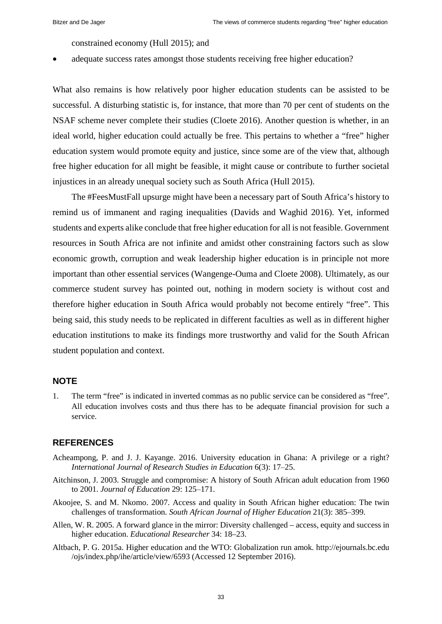constrained economy (Hull 2015); and

adequate success rates amongst those students receiving free higher education?

What also remains is how relatively poor higher education students can be assisted to be successful. A disturbing statistic is, for instance, that more than 70 per cent of students on the NSAF scheme never complete their studies (Cloete 2016). Another question is whether, in an ideal world, higher education could actually be free. This pertains to whether a "free" higher education system would promote equity and justice, since some are of the view that, although free higher education for all might be feasible, it might cause or contribute to further societal injustices in an already unequal society such as South Africa (Hull 2015).

The #FeesMustFall upsurge might have been a necessary part of South Africa's history to remind us of immanent and raging inequalities (Davids and Waghid 2016). Yet, informed students and experts alike conclude that free higher education for all is not feasible. Government resources in South Africa are not infinite and amidst other constraining factors such as slow economic growth, corruption and weak leadership higher education is in principle not more important than other essential services (Wangenge-Ouma and Cloete 2008). Ultimately, as our commerce student survey has pointed out, nothing in modern society is without cost and therefore higher education in South Africa would probably not become entirely "free". This being said, this study needs to be replicated in different faculties as well as in different higher education institutions to make its findings more trustworthy and valid for the South African student population and context.

# **NOTE**

1. The term "free" is indicated in inverted commas as no public service can be considered as "free". All education involves costs and thus there has to be adequate financial provision for such a service.

# **REFERENCES**

- Acheampong, P. and J. J. Kayange. 2016. University education in Ghana: A privilege or a right? *International Journal of Research Studies in Education* 6(3): 17‒25.
- Aitchinson, J. 2003. Struggle and compromise: A history of South African adult education from 1960 to 2001. *Journal of Education* 29: 125-171.
- Akoojee, S. and M. Nkomo. 2007. Access and quality in South African higher education: The twin challenges of transformation. *South African Journal of Higher Education* 21(3): 385‒399.
- Allen, W. R. 2005. A forward glance in the mirror: Diversity challenged access, equity and success in higher education. *Educational Researcher* 34: 18–23.
- Altbach, P. G. 2015a. Higher education and the WTO: Globalization run amok. http://ejournals.bc.edu /ojs/index.php/ihe/article/view/6593 (Accessed 12 September 2016).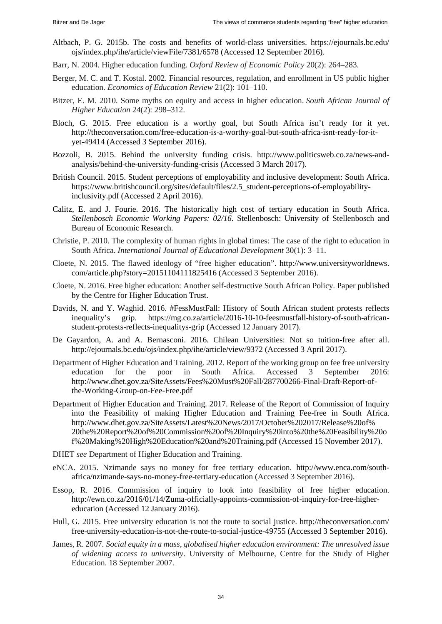- Altbach, P. G. 2015b. The costs and benefits of world-class universities. https://ejournals.bc.edu/ ojs/index.php/ihe/article/viewFile/7381/6578 (Accessed 12 September 2016).
- Barr, N. 2004. Higher education funding. *Oxford Review of Economic Policy* 20(2): 264‒283.
- Berger, M. C. and T. Kostal. 2002. Financial resources, regulation, and enrollment in US public higher education. *Economics of Education Review* 21(2): 101–110.
- Bitzer, E. M. 2010. Some myths on equity and access in higher education. *South African Journal of Higher Education* 24(2): 298‒312.
- Bloch, G. 2015. Free education is a worthy goal, but South Africa isn't ready for it yet. http://theconversation.com/free-education-is-a-worthy-goal-but-south-africa-isnt-ready-for-ityet-49414 (Accessed 3 September 2016).
- Bozzoli, B. 2015. Behind the university funding crisis. http://www.politicsweb.co.za/news-andanalysis/behind-the-university-funding-crisis (Accessed 3 March 2017).
- British Council. 2015. Student perceptions of employability and inclusive development: South Africa. https://www.britishcouncil.org/sites/default/files/2.5\_student-perceptions-of-employabilityinclusivity.pdf (Accessed 2 April 2016).
- Calitz, E. and J. Fourie. 2016. The historically high cost of tertiary education in South Africa. *Stellenbosch Economic Working Papers: 02/16*. Stellenbosch: University of Stellenbosch and Bureau of Economic Research.
- Christie, P. 2010. The complexity of human rights in global times: The case of the right to education in South Africa. *International Journal of Educational Development* 30(1): 3–11.
- Cloete, N. 2015. The flawed ideology of "free higher education". http://www.universityworldnews. com/article.php?story=20151104111825416 (Accessed 3 September 2016).
- Cloete, N. 2016. Free higher education: Another self-destructive South African Policy. Paper published by the Centre for Higher Education Trust.
- Davids, N. and Y. Waghid. 2016. #FessMustFall: History of South African student protests reflects inequality's grip. https://mg.co.za/article/2016-10-10-feesmustfall-history-of-south-africanstudent-protests-reflects-inequalitys-grip (Accessed 12 January 2017).
- De Gayardon, A. and A. Bernasconi. 2016. Chilean Universities: Not so tuition-free after all. http://ejournals.bc.edu/ojs/index.php/ihe/article/view/9372 (Accessed 3 April 2017).
- Department of Higher Education and Training. 2012. Report of the working group on fee free university education for the poor in South Africa. Accessed 3 September 2016: http://www.dhet.gov.za/SiteAssets/Fees%20Must%20Fall/287700266-Final-Draft-Report-ofthe-Working-Group-on-Fee-Free.pdf
- Department of Higher Education and Training. 2017. Release of the Report of Commission of Inquiry into the Feasibility of making Higher Education and Training Fee-free in South Africa. http://www.dhet.gov.za/SiteAssets/Latest%20News/2017/October%202017/Release%20of% 20the%20Report%20of%20Commission%20of%20Inquiry%20into%20the%20Feasibility%20o f%20Making%20High%20Education%20and%20Training.pdf (Accessed 15 November 2017).
- DHET *see* Department of Higher Education and Training.
- eNCA. 2015. Nzimande says no money for free tertiary education. http://www.enca.com/southafrica/nzimande-says-no-money-free-tertiary-education (Accessed 3 September 2016).
- Essop, R. 2016. Commission of inquiry to look into feasibility of free higher education. http://ewn.co.za/2016/01/14/Zuma-officially-appoints-commission-of-inquiry-for-free-highereducation (Accessed 12 January 2016).
- Hull, G. 2015. Free university education is not the route to social justice. http://theconversation.com/ free-university-education-is-not-the-route-to-social-justice-49755 (Accessed 3 September 2016).
- James, R. 2007. *Social equity in a mass, globalised higher education environment: The unresolved issue of widening access to university*. University of Melbourne, Centre for the Study of Higher Education. 18 September 2007.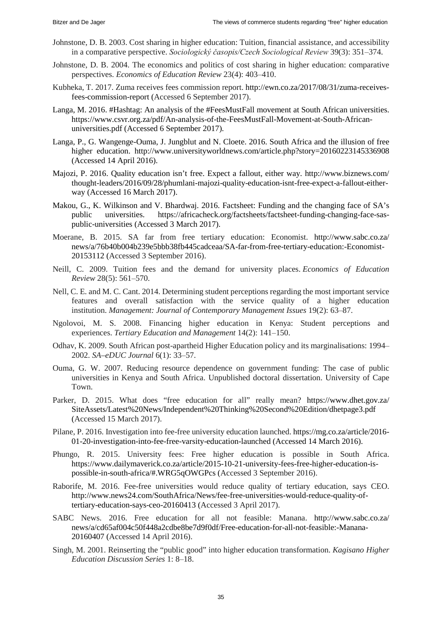- Johnstone, D. B. 2003. Cost sharing in higher education: Tuition, financial assistance, and accessibility in a comparative perspective. *Sociologický časopis/Czech Sociological Review* 39(3): 351‒374.
- Johnstone, D. B. 2004. The economics and politics of cost sharing in higher education: comparative perspectives. *Economics of Education Review* 23(4): 403–410.
- Kubheka, T. 2017. Zuma receives fees commission report. http://ewn.co.za/2017/08/31/zuma-receivesfees-commission-report (Accessed 6 September 2017).
- Langa, M. 2016. #Hashtag: An analysis of the #FeesMustFall movement at South African universities. https://www.csvr.org.za/pdf/An-analysis-of-the-FeesMustFall-Movement-at-South-Africanuniversities.pdf (Accessed 6 September 2017).
- Langa, P., G. Wangenge-Ouma, J. Jungblut and N. Cloete. 2016. South Africa and the illusion of free higher education. http://www.universityworldnews.com/article.php?story=20160223145336908 (Accessed 14 April 2016).
- Majozi, P. 2016. Quality education isn't free. Expect a fallout, either way. http://www.biznews.com/ thought-leaders/2016/09/28/phumlani-majozi-quality-education-isnt-free-expect-a-fallout-eitherway (Accessed 16 March 2017).
- Makou, G., K. Wilkinson and V. Bhardwaj. 2016. Factsheet: Funding and the changing face of SA's public universities. https://africacheck.org/factsheets/factsheet-funding-changing-face-saspublic-universities (Accessed 3 March 2017).
- Moerane, B. 2015. SA far from free tertiary education: Economist. http://www.sabc.co.za/ news/a/76b40b004b239e5bbb38fb445cadceaa/SA-far-from-free-tertiary-education:-Economist-20153112 (Accessed 3 September 2016).
- Neill, C. 2009. Tuition fees and the demand for university places. *Economics of Education Review* 28(5): 561‒570.
- Nell, C. E. and M. C. Cant. 2014. Determining student perceptions regarding the most important service features and overall satisfaction with the service quality of a higher education institution. *Management: Journal of Contemporary Management Issues* 19(2): 63–87.
- Ngolovoi, M. S. 2008. Financing higher education in Kenya: Student perceptions and experiences. *Tertiary Education and Management* 14(2): 141–150.
- Odhav, K. 2009. South African post-apartheid Higher Education policy and its marginalisations: 1994– 2002. *SA–eDUC Journal* 6(1): 33‒57.
- Ouma, G. W. 2007. Reducing resource dependence on government funding: The case of public universities in Kenya and South Africa. Unpublished doctoral dissertation. University of Cape Town.
- Parker, D. 2015. What does "free education for all" really mean? https://www.dhet.gov.za/ SiteAssets/Latest%20News/Independent%20Thinking%20Second%20Edition/dhetpage3.pdf (Accessed 15 March 2017).
- Pilane, P. 2016. Investigation into fee-free university education launched. https://mg.co.za/article/2016- 01-20-investigation-into-fee-free-varsity-education-launched (Accessed 14 March 2016).
- Phungo, R. 2015. University fees: Free higher education is possible in South Africa. https://www.dailymaverick.co.za/article/2015-10-21-university-fees-free-higher-education-ispossible-in-south-africa/#.WRG5qOWGPcs (Accessed 3 September 2016).
- Raborife, M. 2016. Fee-free universities would reduce quality of tertiary education, says CEO. http://www.news24.com/SouthAfrica/News/fee-free-universities-would-reduce-quality-oftertiary-education-says-ceo-20160413 (Accessed 3 April 2017).
- SABC News. 2016. Free education for all not feasible: Manana. http://www.sabc.co.za/ news/a/cd65af004c50f448a2cdbe8be7d9f0df/Free-education-for-all-not-feasible:-Manana-20160407 (Accessed 14 April 2016).
- Singh, M. 2001. Reinserting the "public good" into higher education transformation. *Kagisano Higher Education Discussion Series* 1: 8‒18.